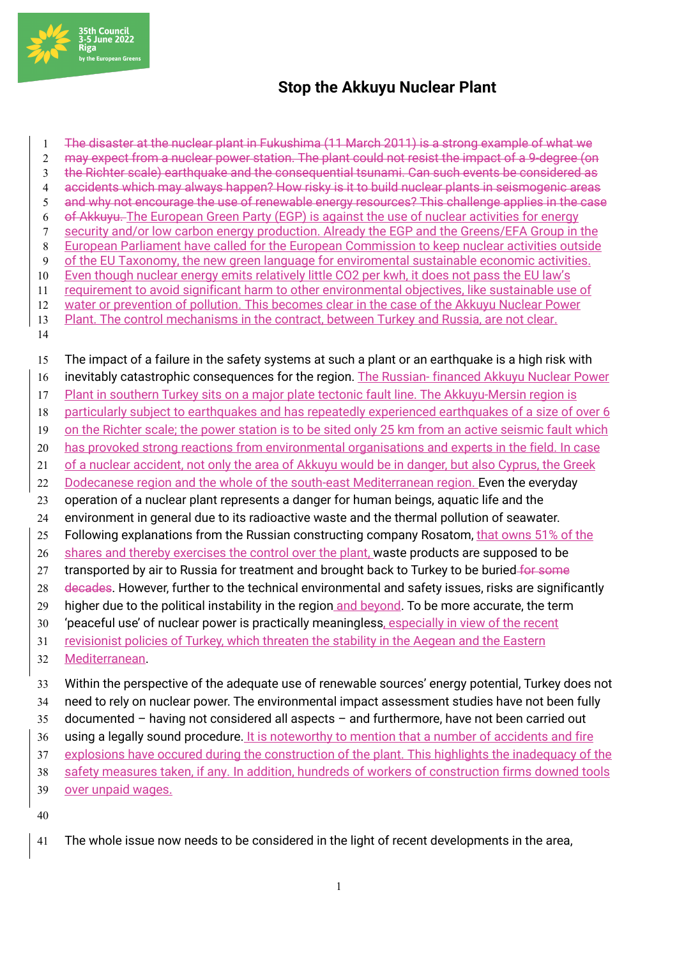

## **Stop the Akkuyu Nuclear Plant**

 The disaster at the nuclear plant in Fukushima (11 March 2011) is a strong example of what we may expect from a nuclear power station. The plant could not resist the impact of a 9-degree (on the Richter scale) earthquake and the consequential tsunami. Can such events be considered as accidents which may always happen? How risky is it to build nuclear plants in seismogenic areas and why not encourage the use of renewable energy resources? This challenge applies in the case of Akkuyu. The European Green Party (EGP) is against the use of nuclear activities for energy security and/or low carbon energy production. Already the EGP and the Greens/EFA Group in the European Parliament have called for the European Commission to keep nuclear activities outside 9 of the EU Taxonomy, the new green language for enviromental sustainable economic activities. Even though nuclear energy emits relatively little CO2 per kwh, it does not pass the EU law's requirement to avoid significant harm to other environmental objectives, like sustainable use of water or prevention of pollution. This becomes clear in the case of the Akkuyu Nuclear Power 13 Plant. The control mechanisms in the contract, between Turkey and Russia, are not clear. 

The impact of a failure in the safety systems at such a plant or an earthquake is a high risk with

16 inevitably catastrophic consequences for the region. The Russian-financed Akkuyu Nuclear Power

- Plant in southern Turkey sits on a major plate tectonic fault line. The Akkuyu-Mersin region is
- particularly subject to earthquakes and has repeatedly experienced earthquakes of a size of over 6
- on the Richter scale; the power station is to be sited only 25 km from an active seismic fault which
- 20 has provoked strong reactions from environmental organisations and experts in the field. In case
- of a nuclear accident, not only the area of Akkuyu would be in danger, but also Cyprus, the Greek
- 22 Dodecanese region and the whole of the south-east Mediterranean region. Even the everyday
- operation of a nuclear plant represents a danger for human beings, aquatic life and the
- environment in general due to its radioactive waste and the thermal pollution of seawater.
- 25 Following explanations from the Russian constructing company Rosatom, that owns 51% of the
- 26 shares and thereby exercises the control over the plant, waste products are supposed to be
- 27 transported by air to Russia for treatment and brought back to Turkey to be buried for some
- 28 decades. However, further to the technical environmental and safety issues, risks are significantly
- 29 higher due to the political instability in the region and beyond. To be more accurate, the term
- 30 'peaceful use' of nuclear power is practically meaningless, especially in view of the recent
- revisionist policies of Turkey, which threaten the stability in the Aegean and the Eastern
- Mediterranean.
- Within the perspective of the adequate use of renewable sources' energy potential, Turkey does not need to rely on nuclear power. The environmental impact assessment studies have not been fully
- documented having not considered all aspects and furthermore, have not been carried out
- 
- 36 using a legally sound procedure. It is noteworthy to mention that a number of accidents and fire explosions have occured during the construction of the plant. This highlights the inadequacy of the
- safety measures taken, if any. In addition, hundreds of workers of construction firms downed tools
- over unpaid wages.
- 
- The whole issue now needs to be considered in the light of recent developments in the area,